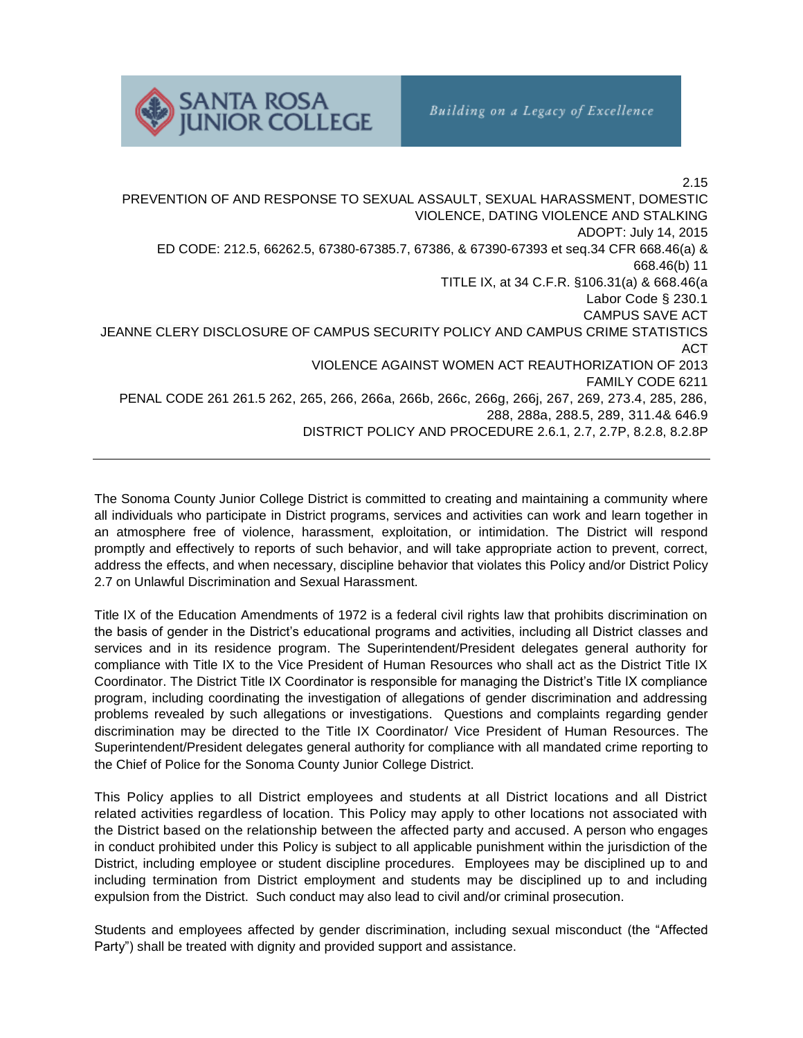

2.15 PREVENTION OF AND RESPONSE TO SEXUAL ASSAULT, SEXUAL HARASSMENT, DOMESTIC VIOLENCE, DATING VIOLENCE AND STALKING ADOPT: July 14, 2015 ED CODE: 212.5, 66262.5, 67380-67385.7, 67386, & 67390-67393 et seq.34 CFR 668.46(a) & 668.46(b) 11 TITLE IX, at 34 C.F.R. §106.31(a) & 668.46(a Labor Code § 230.1 CAMPUS SAVE ACT JEANNE CLERY DISCLOSURE OF CAMPUS SECURITY POLICY AND CAMPUS CRIME STATISTICS ACT VIOLENCE AGAINST WOMEN ACT REAUTHORIZATION OF 2013 FAMILY CODE 6211 PENAL CODE 261 261.5 262, 265, 266, 266a, 266b, 266c, 266g, 266j, 267, 269, 273.4, 285, 286, 288, 288a, 288.5, 289, 311.4& 646.9 DISTRICT POLICY AND PROCEDURE 2.6.1, 2.7, 2.7P, 8.2.8, 8.2.8P

The Sonoma County Junior College District is committed to creating and maintaining a community where all individuals who participate in District programs, services and activities can work and learn together in an atmosphere free of violence, harassment, exploitation, or intimidation. The District will respond promptly and effectively to reports of such behavior, and will take appropriate action to prevent, correct, address the effects, and when necessary, discipline behavior that violates this Policy and/or District Policy 2.7 on Unlawful Discrimination and Sexual Harassment.

Title IX of the Education Amendments of 1972 is a federal civil rights law that prohibits discrimination on the basis of gender in the District's educational programs and activities, including all District classes and services and in its residence program. The Superintendent/President delegates general authority for compliance with Title IX to the Vice President of Human Resources who shall act as the District Title IX Coordinator. The District Title IX Coordinator is responsible for managing the District's Title IX compliance program, including coordinating the investigation of allegations of gender discrimination and addressing problems revealed by such allegations or investigations. Questions and complaints regarding gender discrimination may be directed to the Title IX Coordinator/ Vice President of Human Resources. The Superintendent/President delegates general authority for compliance with all mandated crime reporting to the Chief of Police for the Sonoma County Junior College District.

This Policy applies to all District employees and students at all District locations and all District related activities regardless of location. This Policy may apply to other locations not associated with the District based on the relationship between the affected party and accused. A person who engages in conduct prohibited under this Policy is subject to all applicable punishment within the jurisdiction of the District, including employee or student discipline procedures. Employees may be disciplined up to and including termination from District employment and students may be disciplined up to and including expulsion from the District. Such conduct may also lead to civil and/or criminal prosecution.

Students and employees affected by gender discrimination, including sexual misconduct (the "Affected Party") shall be treated with dignity and provided support and assistance.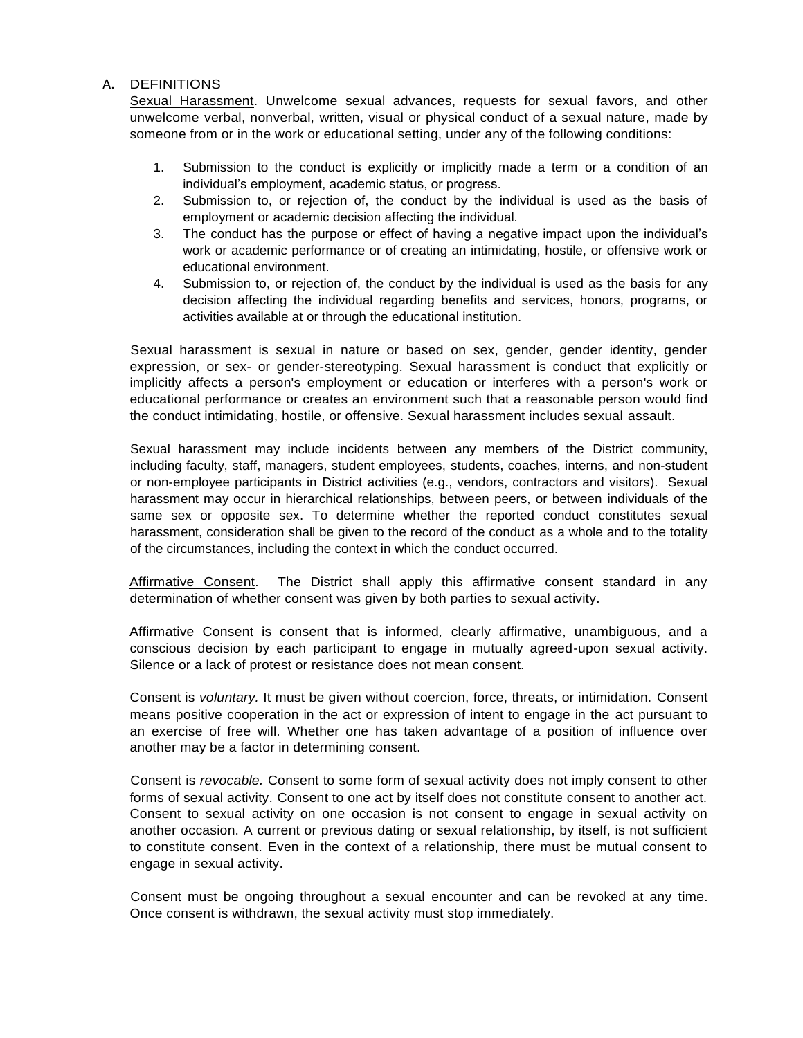# A. DEFINITIONS

Sexual Harassment. Unwelcome sexual advances, requests for sexual favors, and other unwelcome verbal, nonverbal, written, visual or physical conduct of a sexual nature, made by someone from or in the work or educational setting, under any of the following conditions:

- 1. Submission to the conduct is explicitly or implicitly made a term or a condition of an individual's employment, academic status, or progress.
- 2. Submission to, or rejection of, the conduct by the individual is used as the basis of employment or academic decision affecting the individual.
- 3. The conduct has the purpose or effect of having a negative impact upon the individual's work or academic performance or of creating an intimidating, hostile, or offensive work or educational environment.
- 4. Submission to, or rejection of, the conduct by the individual is used as the basis for any decision affecting the individual regarding benefits and services, honors, programs, or activities available at or through the educational institution.

Sexual harassment is sexual in nature or based on sex, gender, gender identity, gender expression, or sex- or gender-stereotyping. Sexual harassment is conduct that explicitly or implicitly affects a person's employment or education or interferes with a person's work or educational performance or creates an environment such that a reasonable person would find the conduct intimidating, hostile, or offensive. Sexual harassment includes sexual assault.

Sexual harassment may include incidents between any members of the District community, including faculty, staff, managers, student employees, students, coaches, interns, and non-student or non-employee participants in District activities (e.g., vendors, contractors and visitors). Sexual harassment may occur in hierarchical relationships, between peers, or between individuals of the same sex or opposite sex. To determine whether the reported conduct constitutes sexual harassment, consideration shall be given to the record of the conduct as a whole and to the totality of the circumstances, including the context in which the conduct occurred.

Affirmative Consent. The District shall apply this affirmative consent standard in any determination of whether consent was given by both parties to sexual activity.

Affirmative Consent is consent that is informed*,* clearly affirmative, unambiguous, and a conscious decision by each participant to engage in mutually agreed-upon sexual activity. Silence or a lack of protest or resistance does not mean consent.

Consent is *voluntary.* It must be given without coercion, force, threats, or intimidation. Consent means positive cooperation in the act or expression of intent to engage in the act pursuant to an exercise of free will. Whether one has taken advantage of a position of influence over another may be a factor in determining consent.

Consent is *revocable.* Consent to some form of sexual activity does not imply consent to other forms of sexual activity. Consent to one act by itself does not constitute consent to another act. Consent to sexual activity on one occasion is not consent to engage in sexual activity on another occasion. A current or previous dating or sexual relationship, by itself, is not sufficient to constitute consent. Even in the context of a relationship, there must be mutual consent to engage in sexual activity.

Consent must be ongoing throughout a sexual encounter and can be revoked at any time. Once consent is withdrawn, the sexual activity must stop immediately.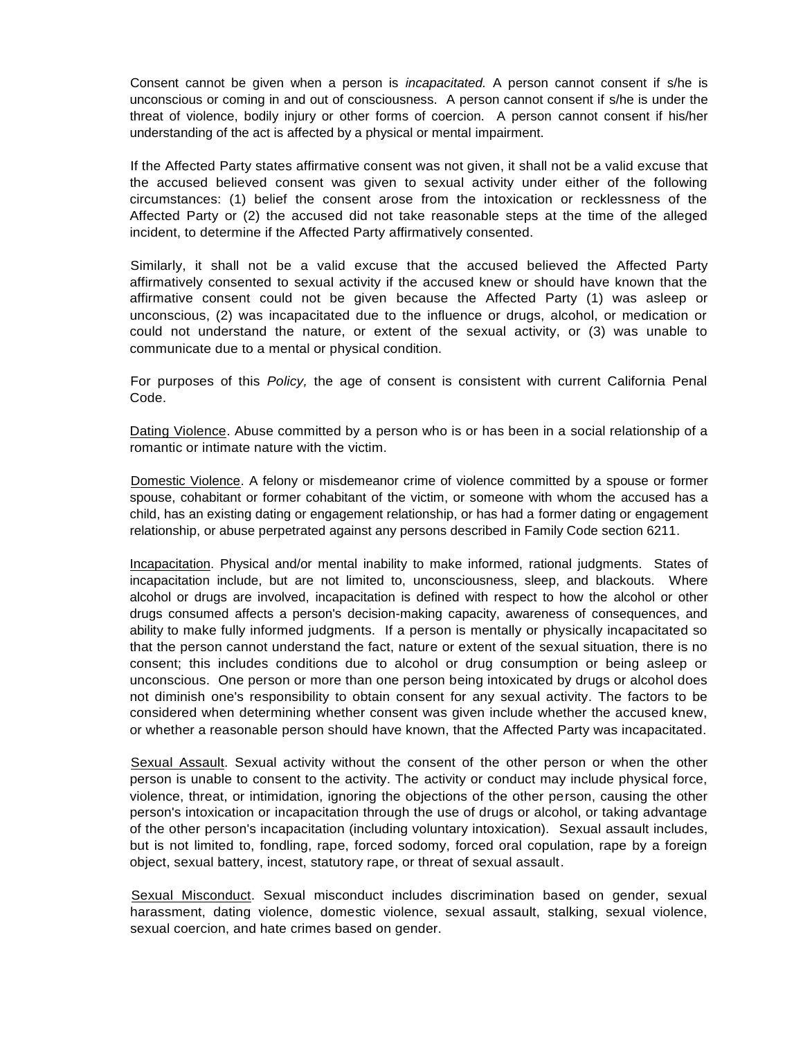Consent cannot be given when a person is *incapacitated.* A person cannot consent if s/he is unconscious or coming in and out of consciousness. A person cannot consent if s/he is under the threat of violence, bodily injury or other forms of coercion. A person cannot consent if his/her understanding of the act is affected by a physical or mental impairment.

If the Affected Party states affirmative consent was not given, it shall not be a valid excuse that the accused believed consent was given to sexual activity under either of the following circumstances: (1) belief the consent arose from the intoxication or recklessness of the Affected Party or (2) the accused did not take reasonable steps at the time of the alleged incident, to determine if the Affected Party affirmatively consented.

Similarly, it shall not be a valid excuse that the accused believed the Affected Party affirmatively consented to sexual activity if the accused knew or should have known that the affirmative consent could not be given because the Affected Party (1) was asleep or unconscious, (2) was incapacitated due to the influence or drugs, alcohol, or medication or could not understand the nature, or extent of the sexual activity, or (3) was unable to communicate due to a mental or physical condition.

For purposes of this *Policy,* the age of consent is consistent with current California Penal Code.

Dating Violence. Abuse committed by a person who is or has been in a social relationship of a romantic or intimate nature with the victim.

Domestic Violence. A felony or misdemeanor crime of violence committed by a spouse or former spouse, cohabitant or former cohabitant of the victim, or someone with whom the accused has a child, has an existing dating or engagement relationship, or has had a former dating or engagement relationship, or abuse perpetrated against any persons described in Family Code section 6211.

Incapacitation. Physical and/or mental inability to make informed, rational judgments. States of incapacitation include, but are not limited to, unconsciousness, sleep, and blackouts. Where alcohol or drugs are involved, incapacitation is defined with respect to how the alcohol or other drugs consumed affects a person's decision-making capacity, awareness of consequences, and ability to make fully informed judgments. If a person is mentally or physically incapacitated so that the person cannot understand the fact, nature or extent of the sexual situation, there is no consent; this includes conditions due to alcohol or drug consumption or being asleep or unconscious. One person or more than one person being intoxicated by drugs or alcohol does not diminish one's responsibility to obtain consent for any sexual activity. The factors to be considered when determining whether consent was given include whether the accused knew, or whether a reasonable person should have known, that the Affected Party was incapacitated.

Sexual Assault. Sexual activity without the consent of the other person or when the other person is unable to consent to the activity. The activity or conduct may include physical force, violence, threat, or intimidation, ignoring the objections of the other person, causing the other person's intoxication or incapacitation through the use of drugs or alcohol, or taking advantage of the other person's incapacitation (including voluntary intoxication). Sexual assault includes, but is not limited to, fondling, rape, forced sodomy, forced oral copulation, rape by a foreign object, sexual battery, incest, statutory rape, or threat of sexual assault.

Sexual Misconduct. Sexual misconduct includes discrimination based on gender, sexual harassment, dating violence, domestic violence, sexual assault, stalking, sexual violence, sexual coercion, and hate crimes based on gender.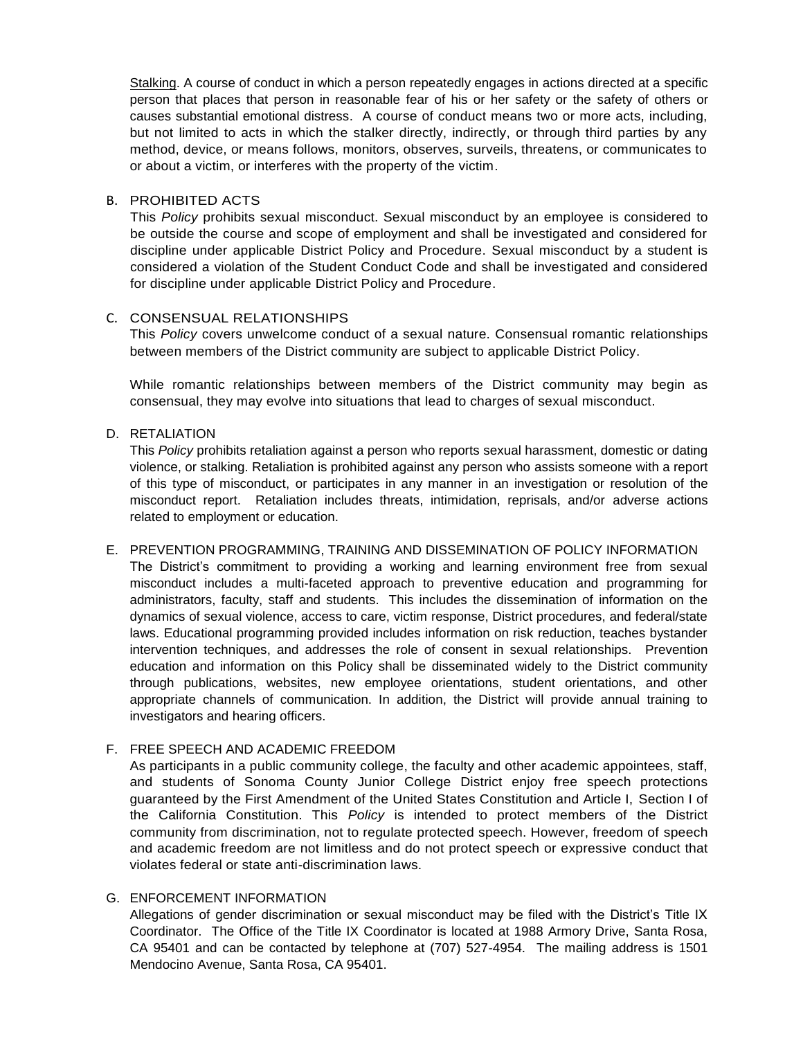Stalking. A course of conduct in which a person repeatedly engages in actions directed at a specific person that places that person in reasonable fear of his or her safety or the safety of others or causes substantial emotional distress. A course of conduct means two or more acts, including, but not limited to acts in which the stalker directly, indirectly, or through third parties by any method, device, or means follows, monitors, observes, surveils, threatens, or communicates to or about a victim, or interferes with the property of the victim.

#### B. PROHIBITED ACTS

This *Policy* prohibits sexual misconduct. Sexual misconduct by an employee is considered to be outside the course and scope of employment and shall be investigated and considered for discipline under applicable District Policy and Procedure. Sexual misconduct by a student is considered a violation of the Student Conduct Code and shall be investigated and considered for discipline under applicable District Policy and Procedure.

# C. CONSENSUAL RELATIONSHIPS

This *Policy* covers unwelcome conduct of a sexual nature. Consensual romantic relationships between members of the District community are subject to applicable District Policy.

While romantic relationships between members of the District community may begin as consensual, they may evolve into situations that lead to charges of sexual misconduct.

### D. RETALIATION

This *Policy* prohibits retaliation against a person who reports sexual harassment, domestic or dating violence, or stalking. Retaliation is prohibited against any person who assists someone with a report of this type of misconduct, or participates in any manner in an investigation or resolution of the misconduct report. Retaliation includes threats, intimidation, reprisals, and/or adverse actions related to employment or education.

#### E. PREVENTION PROGRAMMING, TRAINING AND DISSEMINATION OF POLICY INFORMATION

The District's commitment to providing a working and learning environment free from sexual misconduct includes a multi-faceted approach to preventive education and programming for administrators, faculty, staff and students. This includes the dissemination of information on the dynamics of sexual violence, access to care, victim response, District procedures, and federal/state laws. Educational programming provided includes information on risk reduction, teaches bystander intervention techniques, and addresses the role of consent in sexual relationships. Prevention education and information on this Policy shall be disseminated widely to the District community through publications, websites, new employee orientations, student orientations, and other appropriate channels of communication. In addition, the District will provide annual training to investigators and hearing officers.

### F. FREE SPEECH AND ACADEMIC FREEDOM

As participants in a public community college, the faculty and other academic appointees, staff, and students of Sonoma County Junior College District enjoy free speech protections guaranteed by the First Amendment of the United States Constitution and Article I, Section I of the California Constitution. This *Policy* is intended to protect members of the District community from discrimination, not to regulate protected speech. However, freedom of speech and academic freedom are not limitless and do not protect speech or expressive conduct that violates federal or state anti-discrimination laws.

# G. ENFORCEMENT INFORMATION

Allegations of gender discrimination or sexual misconduct may be filed with the District's Title IX Coordinator. The Office of the Title IX Coordinator is located at 1988 Armory Drive, Santa Rosa, CA 95401 and can be contacted by telephone at (707) 527-4954. The mailing address is 1501 Mendocino Avenue, Santa Rosa, CA 95401.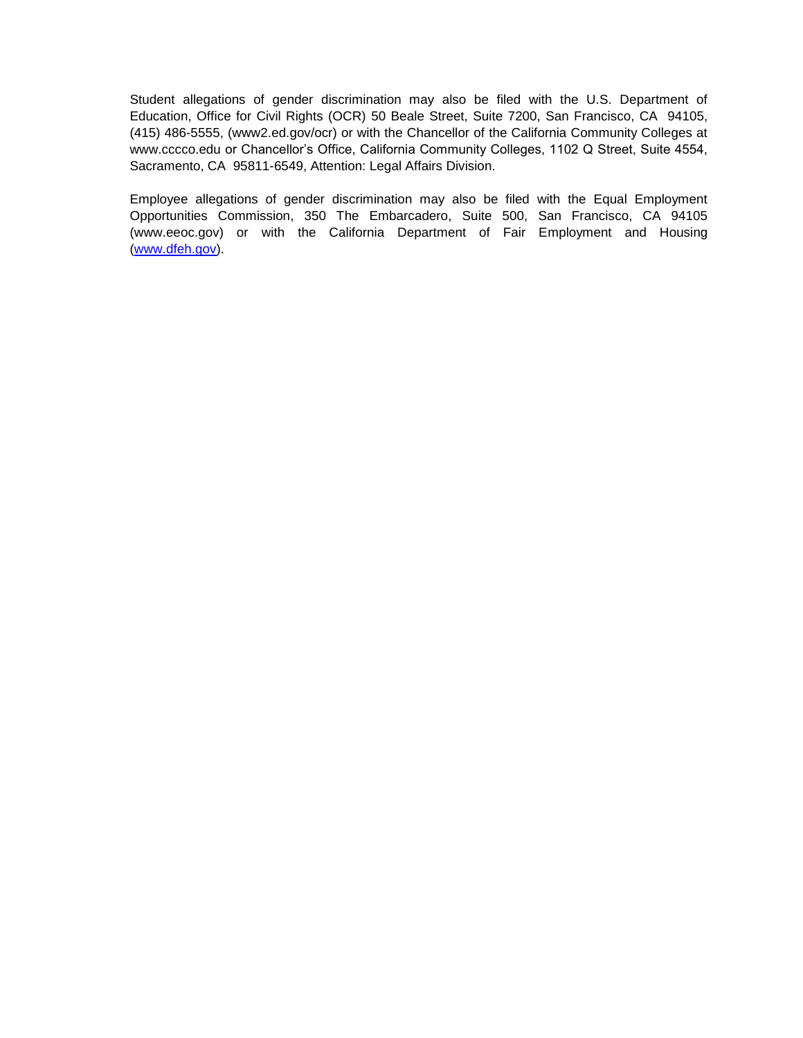Student allegations of gender discrimination may also be filed with the U.S. Department of Education, Office for Civil Rights (OCR) 50 Beale Street, Suite 7200, San Francisco, CA 94105, (415) 486-5555, (www2.ed.gov/ocr) or with the Chancellor of the California Community Colleges at [www.cccco.edu](http://www.cccco.edu/) or Chancellor's Office, California Community Colleges, 1102 Q Street, Suite 4554, Sacramento, CA 95811-6549, Attention: Legal Affairs Division.

Employee allegations of gender discrimination may also be filed with the Equal Employment Opportunities Commission, 350 The Embarcadero, Suite 500, San Francisco, CA 94105 (www.eeoc.gov) or with the California Department of Fair Employment and Housing [\(www.dfeh.gov\)](http://www.dfeh.gov/).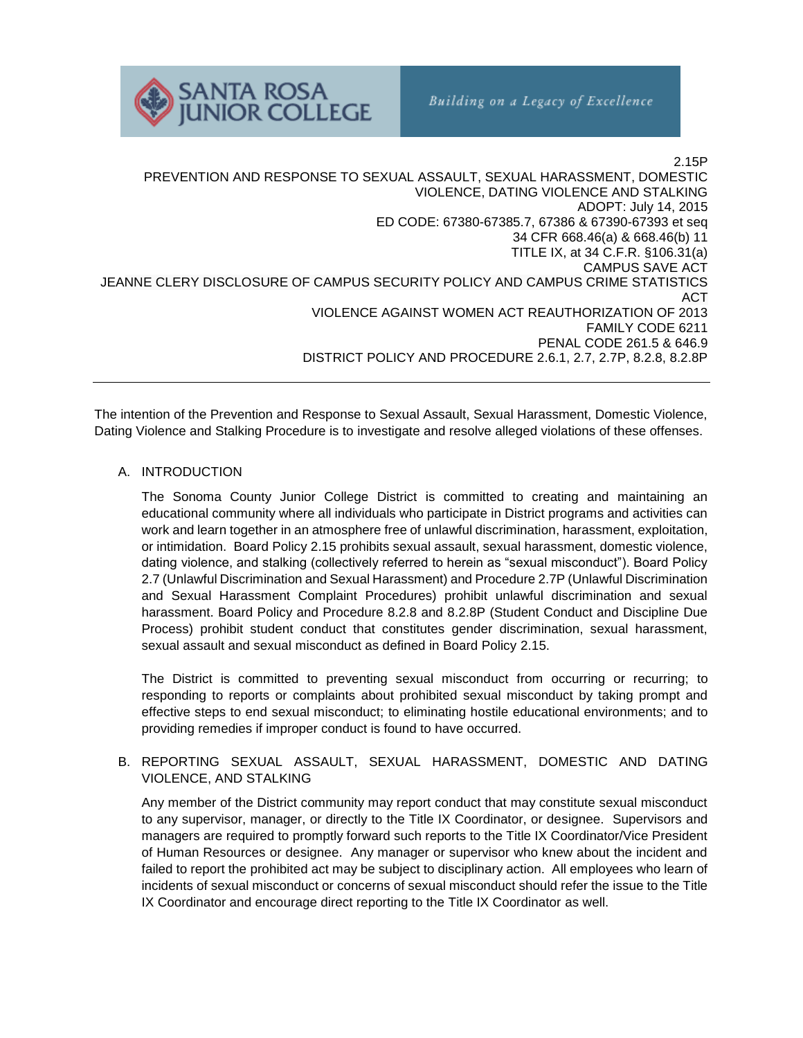

2.15P PREVENTION AND RESPONSE TO SEXUAL ASSAULT, SEXUAL HARASSMENT, DOMESTIC VIOLENCE, DATING VIOLENCE AND STALKING ADOPT: July 14, 2015 ED CODE: 67380-67385.7, 67386 & 67390-67393 et seq 34 CFR 668.46(a) & 668.46(b) 11 TITLE IX, at 34 C.F.R. §106.31(a) CAMPUS SAVE ACT JEANNE CLERY DISCLOSURE OF CAMPUS SECURITY POLICY AND CAMPUS CRIME STATISTICS ACT VIOLENCE AGAINST WOMEN ACT REAUTHORIZATION OF 2013 FAMILY CODE 6211 PENAL CODE 261.5 & 646.9 DISTRICT POLICY AND PROCEDURE 2.6.1, 2.7, 2.7P, 8.2.8, 8.2.8P

The intention of the Prevention and Response to Sexual Assault, Sexual Harassment, Domestic Violence, Dating Violence and Stalking Procedure is to investigate and resolve alleged violations of these offenses.

## A. INTRODUCTION

The Sonoma County Junior College District is committed to creating and maintaining an educational community where all individuals who participate in District programs and activities can work and learn together in an atmosphere free of unlawful discrimination, harassment, exploitation, or intimidation. Board Policy 2.15 prohibits sexual assault, sexual harassment, domestic violence, dating violence, and stalking (collectively referred to herein as "sexual misconduct"). Board Policy 2.7 (Unlawful Discrimination and Sexual Harassment) and Procedure 2.7P (Unlawful Discrimination and Sexual Harassment Complaint Procedures) prohibit unlawful discrimination and sexual harassment. Board Policy and Procedure 8.2.8 and 8.2.8P (Student Conduct and Discipline Due Process) prohibit student conduct that constitutes gender discrimination, sexual harassment, sexual assault and sexual misconduct as defined in Board Policy 2.15.

The District is committed to preventing sexual misconduct from occurring or recurring; to responding to reports or complaints about prohibited sexual misconduct by taking prompt and effective steps to end sexual misconduct; to eliminating hostile educational environments; and to providing remedies if improper conduct is found to have occurred.

## B. REPORTING SEXUAL ASSAULT, SEXUAL HARASSMENT, DOMESTIC AND DATING VIOLENCE, AND STALKING

Any member of the District community may report conduct that may constitute sexual misconduct to any supervisor, manager, or directly to the Title IX Coordinator, or designee. Supervisors and managers are required to promptly forward such reports to the Title IX Coordinator/Vice President of Human Resources or designee. Any manager or supervisor who knew about the incident and failed to report the prohibited act may be subject to disciplinary action. All employees who learn of incidents of sexual misconduct or concerns of sexual misconduct should refer the issue to the Title IX Coordinator and encourage direct reporting to the Title IX Coordinator as well.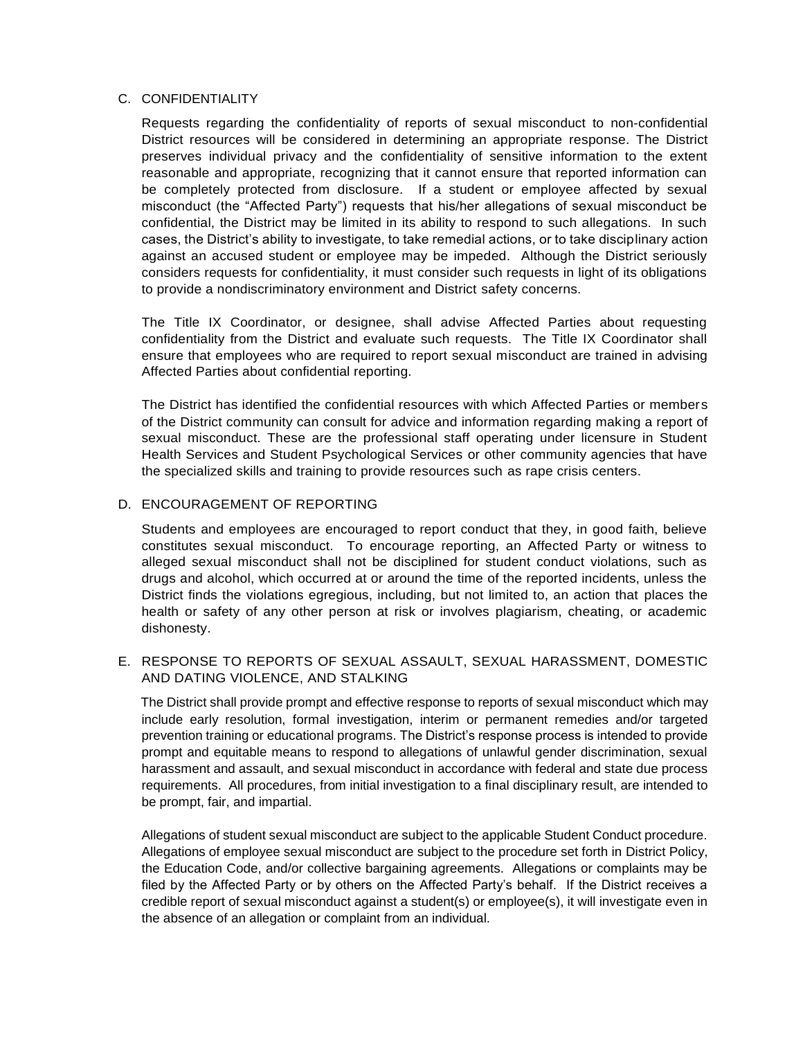### C. CONFIDENTIALITY

Requests regarding the confidentiality of reports of sexual misconduct to non-confidential District resources will be considered in determining an appropriate response. The District preserves individual privacy and the confidentiality of sensitive information to the extent reasonable and appropriate, recognizing that it cannot ensure that reported information can be completely protected from disclosure. If a student or employee affected by sexual misconduct (the "Affected Party") requests that his/her allegations of sexual misconduct be confidential, the District may be limited in its ability to respond to such allegations. In such cases, the District's ability to investigate, to take remedial actions, or to take disciplinary action against an accused student or employee may be impeded. Although the District seriously considers requests for confidentiality, it must consider such requests in light of its obligations to provide a nondiscriminatory environment and District safety concerns.

The Title IX Coordinator, or designee, shall advise Affected Parties about requesting confidentiality from the District and evaluate such requests. The Title IX Coordinator shall ensure that employees who are required to report sexual misconduct are trained in advising Affected Parties about confidential reporting.

The District has identified the confidential resources with which Affected Parties or members of the District community can consult for advice and information regarding making a report of sexual misconduct. These are the professional staff operating under licensure in Student Health Services and Student Psychological Services or other community agencies that have the specialized skills and training to provide resources such as rape crisis centers.

### D. ENCOURAGEMENT OF REPORTING

Students and employees are encouraged to report conduct that they, in good faith, believe constitutes sexual misconduct. To encourage reporting, an Affected Party or witness to alleged sexual misconduct shall not be disciplined for student conduct violations, such as drugs and alcohol, which occurred at or around the time of the reported incidents, unless the District finds the violations egregious, including, but not limited to, an action that places the health or safety of any other person at risk or involves plagiarism, cheating, or academic dishonesty.

## E. RESPONSE TO REPORTS OF SEXUAL ASSAULT, SEXUAL HARASSMENT, DOMESTIC AND DATING VIOLENCE, AND STALKING

The District shall provide prompt and effective response to reports of sexual misconduct which may include early resolution, formal investigation, interim or permanent remedies and/or targeted prevention training or educational programs. The District's response process is intended to provide prompt and equitable means to respond to allegations of unlawful gender discrimination, sexual harassment and assault, and sexual misconduct in accordance with federal and state due process requirements. All procedures, from initial investigation to a final disciplinary result, are intended to be prompt, fair, and impartial.

Allegations of student sexual misconduct are subject to the applicable Student Conduct procedure. Allegations of employee sexual misconduct are subject to the procedure set forth in District Policy, the Education Code, and/or collective bargaining agreements. Allegations or complaints may be filed by the Affected Party or by others on the Affected Party's behalf. If the District receives a credible report of sexual misconduct against a student(s) or employee(s), it will investigate even in the absence of an allegation or complaint from an individual.